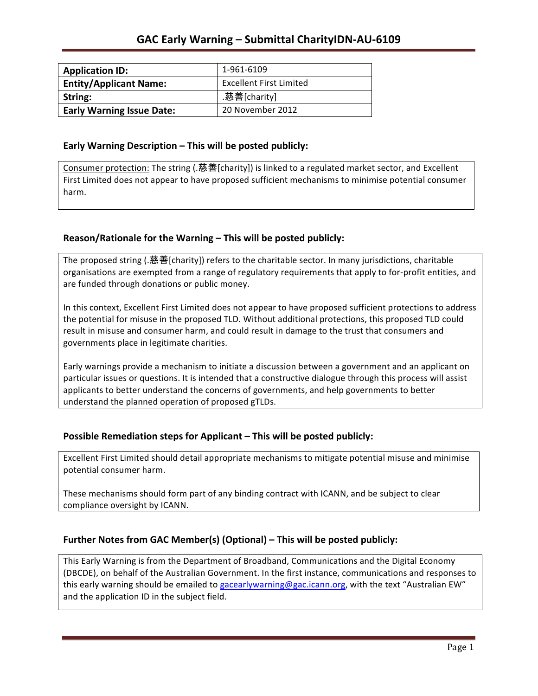| <b>Application ID:</b>           | 1-961-6109                     |
|----------------------------------|--------------------------------|
| <b>Entity/Applicant Name:</b>    | <b>Excellent First Limited</b> |
| String:                          | .慈善[charity]                   |
| <b>Early Warning Issue Date:</b> | 20 November 2012               |

### **Early Warning Description – This will be posted publicly:**

Consumer protection: The string (.慈善[charity]) is linked to a regulated market sector, and Excellent First Limited does not appear to have proposed sufficient mechanisms to minimise potential consumer harm.

## **Reason/Rationale for the Warning – This will be posted publicly:**

The proposed string (.慈善[charity]) refers to the charitable sector. In many jurisdictions, charitable organisations are exempted from a range of regulatory requirements that apply to for-profit entities, and are funded through donations or public money.

In this context, Excellent First Limited does not appear to have proposed sufficient protections to address the potential for misuse in the proposed TLD. Without additional protections, this proposed TLD could result in misuse and consumer harm, and could result in damage to the trust that consumers and governments place in legitimate charities.

Early warnings provide a mechanism to initiate a discussion between a government and an applicant on particular issues or questions. It is intended that a constructive dialogue through this process will assist applicants to better understand the concerns of governments, and help governments to better understand the planned operation of proposed gTLDs.

#### **Possible Remediation steps for Applicant – This will be posted publicly:**

Excellent First Limited should detail appropriate mechanisms to mitigate potential misuse and minimise potential consumer harm.

These mechanisms should form part of any binding contract with ICANN, and be subject to clear compliance oversight by ICANN.

## **Further Notes from GAC Member(s) (Optional)** – This will be posted publicly:

This Early Warning is from the Department of Broadband, Communications and the Digital Economy (DBCDE), on behalf of the Australian Government. In the first instance, communications and responses to this early warning should be emailed to gacearlywarning@gac.icann.org, with the text "Australian EW" and the application ID in the subject field.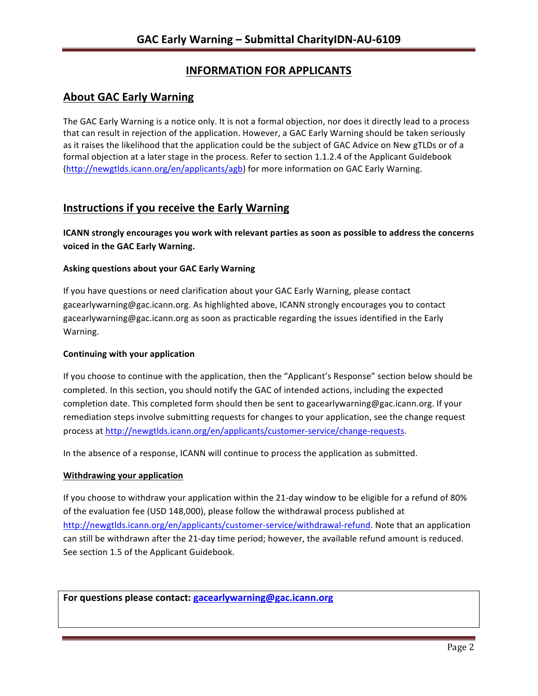# **INFORMATION FOR APPLICANTS**

# **About GAC Early Warning**

The GAC Early Warning is a notice only. It is not a formal objection, nor does it directly lead to a process that can result in rejection of the application. However, a GAC Early Warning should be taken seriously as it raises the likelihood that the application could be the subject of GAC Advice on New gTLDs or of a formal objection at a later stage in the process. Refer to section 1.1.2.4 of the Applicant Guidebook (http://newgtlds.icann.org/en/applicants/agb) for more information on GAC Early Warning.

# **Instructions if you receive the Early Warning**

**ICANN** strongly encourages you work with relevant parties as soon as possible to address the concerns **voiced in the GAC Early Warning.** 

### **Asking questions about your GAC Early Warning**

If you have questions or need clarification about your GAC Early Warning, please contact gacearlywarning@gac.icann.org. As highlighted above, ICANN strongly encourages you to contact gacearlywarning@gac.icann.org as soon as practicable regarding the issues identified in the Early Warning. 

#### **Continuing with your application**

If you choose to continue with the application, then the "Applicant's Response" section below should be completed. In this section, you should notify the GAC of intended actions, including the expected completion date. This completed form should then be sent to gacearlywarning@gac.icann.org. If your remediation steps involve submitting requests for changes to your application, see the change request process at http://newgtlds.icann.org/en/applicants/customer-service/change-requests.

In the absence of a response, ICANN will continue to process the application as submitted.

#### **Withdrawing your application**

If you choose to withdraw your application within the 21-day window to be eligible for a refund of 80% of the evaluation fee (USD 148,000), please follow the withdrawal process published at http://newgtlds.icann.org/en/applicants/customer-service/withdrawal-refund. Note that an application can still be withdrawn after the 21-day time period; however, the available refund amount is reduced. See section 1.5 of the Applicant Guidebook.

For questions please contact: gacearlywarning@gac.icann.org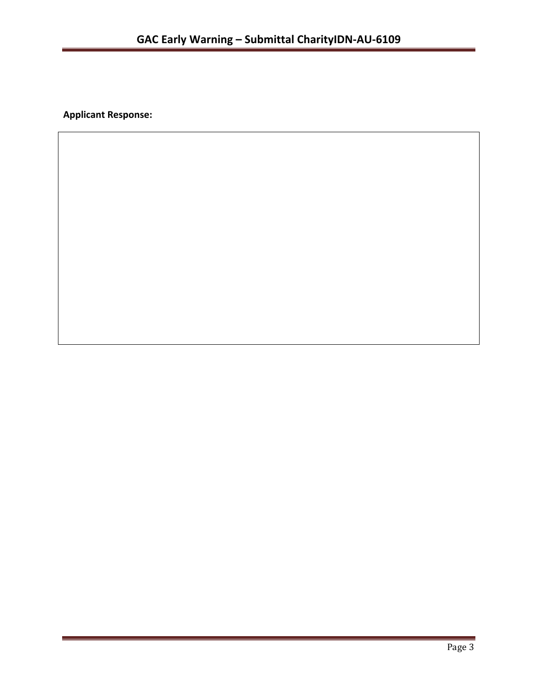**Applicant Response:**